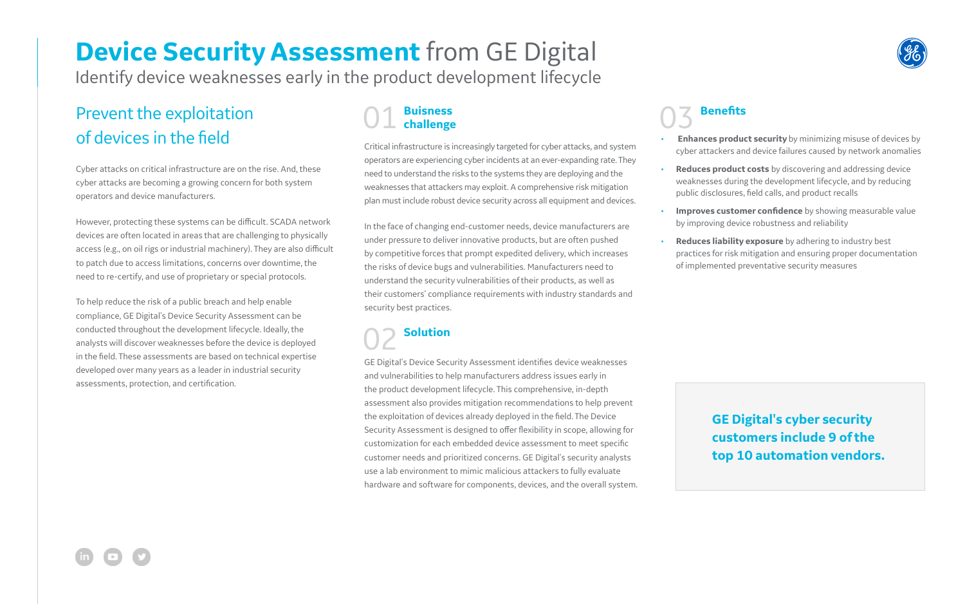Identify device weaknesses early in the product development lifecycle

## Prevent the exploitation of devices in the field

Cyber attacks on critical infrastructure are on the rise. And, these cyber attacks are becoming a growing concern for both system operators and device manufacturers.

However, protecting these systems can be difficult. SCADA network devices are often located in areas that are challenging to physically access (e.g., on oil rigs or industrial machinery). They are also difficult to patch due to access limitations, concerns over downtime, the need to re-certify, and use of proprietary or special protocols.

**Enhances product security** by minimizing misuse of devices by cyber attackers and device failures caused by network anomalies

**Improves customer confidence** by showing measurable value by improving device robustness and reliability

To help reduce the risk of a public breach and help enable compliance, GE Digital's Device Security Assessment can be conducted throughout the development lifecycle. Ideally, the analysts will discover weaknesses before the device is deployed in the field. These assessments are based on technical expertise developed over many years as a leader in industrial security assessments, protection, and certification.

## 03 **Benefits**

• **Reduces product costs** by discovering and addressing device weaknesses during the development lifecycle, and by reducing public disclosures, field calls, and product recalls

• **Reduces liability exposure** by adhering to industry best practices for risk mitigation and ensuring proper documentation of implemented preventative security measures

## 01 **Buisness challenge**

Critical infrastructure is increasingly targeted for cyber attacks, and system operators are experiencing cyber incidents at an ever-expanding rate. They need to understand the risks to the systems they are deploying and the weaknesses that attackers may exploit. A comprehensive risk mitigation plan must include robust device security across all equipment and devices.

In the face of changing end-customer needs, device manufacturers are under pressure to deliver innovative products, but are often pushed by competitive forces that prompt expedited delivery, which increases the risks of device bugs and vulnerabilities. Manufacturers need to understand the security vulnerabilities of their products, as well as their customers' compliance requirements with industry standards and security best practices.

## **Solution**

GE Digital's Device Security Assessment identifies device weaknesses and vulnerabilities to help manufacturers address issues early in the product development lifecycle. This comprehensive, in-depth assessment also provides mitigation recommendations to help prevent the exploitation of devices already deployed in the field. The Device Security Assessment is designed to offer flexibility in scope, allowing for customization for each embedded device assessment to meet specific customer needs and prioritized concerns. GE Digital's security analysts use a lab environment to mimic malicious attackers to fully evaluate hardware and software for components, devices, and the overall system.



**GE Digital's cyber security customers include 9 of the top 10 automation vendors.**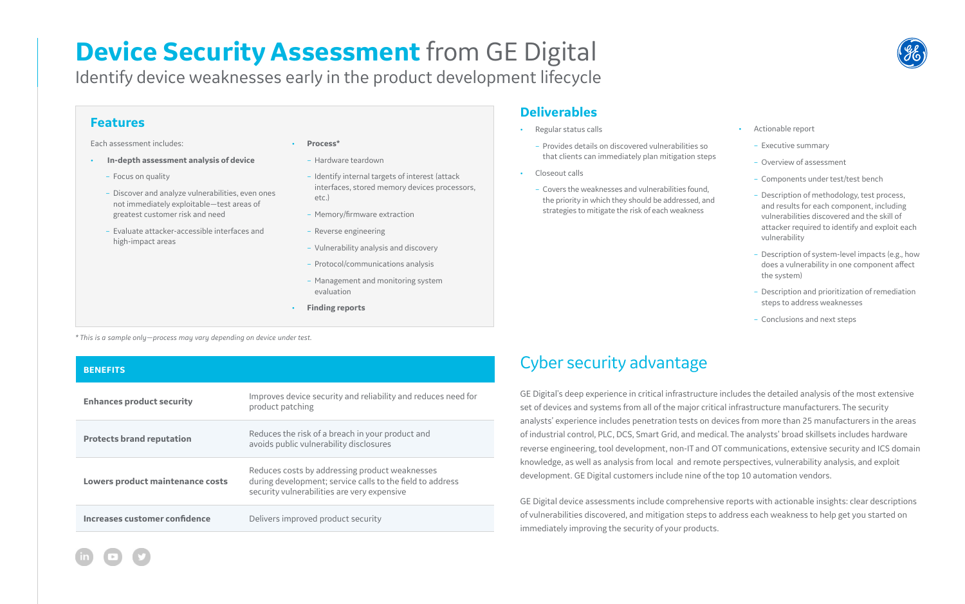Identify device weaknesses early in the product development lifecycle

Each assessment includes:

- • **In-depth assessment analysis of device**
	- Focus on quality
	- Discover and analyze vulnerabilities, even ones not immediately exploitable—test areas of greatest customer risk and need
	- Evaluate attacker-accessible interfaces and high-impact areas
- **Process\***
- Hardware teardown
- Identify internal targets of interest (attack interfaces, stored memory devices processors, etc.)
- Memory/firmware extraction
- Reverse engineering
- Vulnerability analysis and discovery
- Protocol/communications analysis
- Management and monitoring system evaluation
- **Finding reports**

### **Features**

| <b>BENEFITS</b>                  |                                                                                                                                                            |
|----------------------------------|------------------------------------------------------------------------------------------------------------------------------------------------------------|
| <b>Enhances product security</b> | Improves device security and reliability and reduces need for<br>product patching                                                                          |
| <b>Protects brand reputation</b> | Reduces the risk of a breach in your product and<br>avoids public vulnerability disclosures                                                                |
| Lowers product maintenance costs | Reduces costs by addressing product weaknesses<br>during development; service calls to the field to address<br>security vulnerabilities are very expensive |
| Increases customer confidence    | Delivers improved product security                                                                                                                         |

### **Deliverables**

- Regular status calls
- Provides details on discovered vulnerabilities so that clients can immediately plan mitigation steps
- Closeout calls
	- Covers the weaknesses and vulnerabilities found, the priority in which they should be addressed, and strategies to mitigate the risk of each weakness
- Actionable report
	- Executive summary
	- Overview of assessment
	- Components under test/test bench
	- Description of methodology, test process, and results for each component, including vulnerabilities discovered and the skill of attacker required to identify and exploit each vulnerability
	- Description of system-level impacts (e.g., how does a vulnerability in one component affect the system)
	- Description and prioritization of remediation steps to address weaknesses
	- Conclusions and next steps

- 
- 

*\* This is a sample only—process may vary depending on device under test.*

## Cyber security advantage

GE Digital's deep experience in critical infrastructure includes the detailed analysis of the most extensive set of devices and systems from all of the major critical infrastructure manufacturers. The security analysts' experience includes penetration tests on devices from more than 25 manufacturers in the areas of industrial control, PLC, DCS, Smart Grid, and medical. The analysts' broad skillsets includes hardware reverse engineering, tool development, non-IT and OT communications, extensive security and ICS domain knowledge, as well as analysis from local and remote perspectives, vulnerability analysis, and exploit development. GE Digital customers include nine of the top 10 automation vendors.

GE Digital device assessments include comprehensive reports with actionable insights: clear descriptions of vulnerabilities discovered, and mitigation steps to address each weakness to help get you started on immediately improving the security of your products.

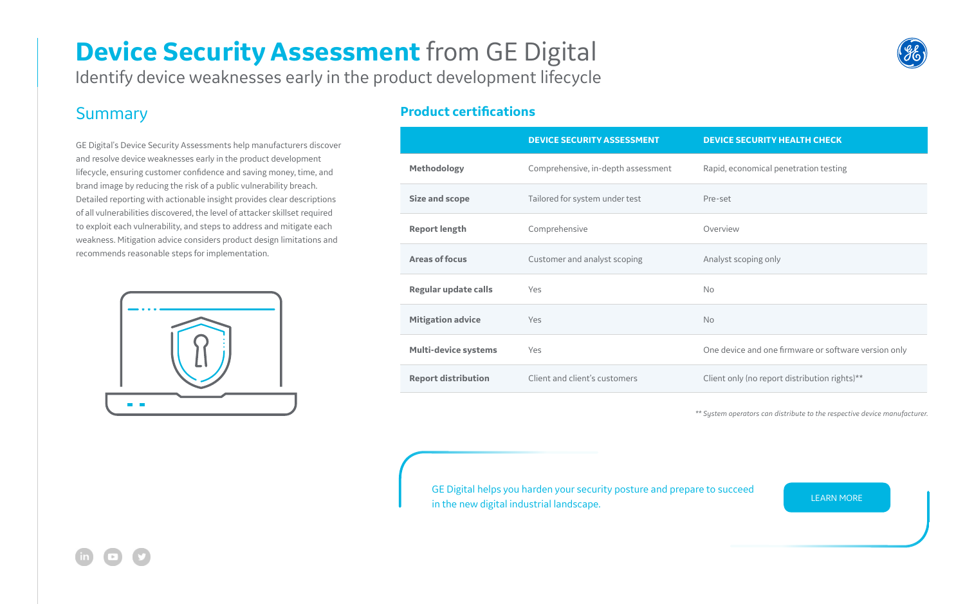Identify device weaknesses early in the product development lifecycle

### **Summary**

GE Digital's Device Security Assessments help manufacturers discover and resolve device weaknesses early in the product development lifecycle, ensuring customer confidence and saving money, time, and brand image by reducing the risk of a public vulnerability breach. Detailed reporting with actionable insight provides clear descriptions of all vulnerabilities discovered, the level of attacker skillset required to exploit each vulnerability, and steps to address and mitigate each weakness. Mitigation advice considers product design limitations and recommends reasonable steps for implementation.



GE Digital helps you harden your security posture and prepare to succeed in the new digital industrial landscape.



### **DEVICE SECURITY HEALTH CHECK**

| Rapid, economical penetration testing                |
|------------------------------------------------------|
| Pre-set                                              |
| Overview                                             |
| Analyst scoping only                                 |
| <b>No</b>                                            |
| <b>No</b>                                            |
| One device and one firmware or software version only |
| Client only (no report distribution rights)**        |

### **Product certifications**

|                             | <b>DEVICE SECURITY ASSESSMENT</b>  | <b>DEVICE SECURITY HEALTH CHECK</b>                  |
|-----------------------------|------------------------------------|------------------------------------------------------|
| <b>Methodology</b>          | Comprehensive, in-depth assessment | Rapid, economical penetration testing                |
| <b>Size and scope</b>       | Tailored for system under test     | Pre-set                                              |
| <b>Report length</b>        | Comprehensive                      | Overview                                             |
| <b>Areas of focus</b>       | Customer and analyst scoping       | Analyst scoping only                                 |
| <b>Regular update calls</b> | Yes                                | <b>No</b>                                            |
| <b>Mitigation advice</b>    | Yes                                | <b>No</b>                                            |
| <b>Multi-device systems</b> | Yes                                | One device and one firmware or software version only |
| <b>Report distribution</b>  | Client and client's customers      | Client only (no report distribution rights)**        |

*\*\* System operators can distribute to the respective device manufacturer.*